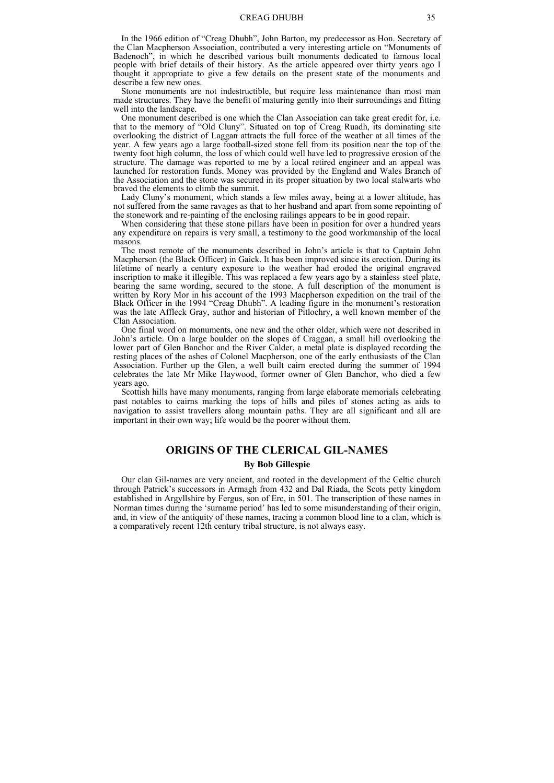In the 1966 edition of "Creag Dhubh", John Barton, my predecessor as Hon. Secretary of the Clan Macpherson Association, contributed a very interesting article on "Monuments of Badenoch", in which he described various built monuments dedicated to famous local people with brief details of their history. As the article appeared over thirty years ago I thought it appropriate to give a few details on the present state of the monuments and describe a few new ones.

Stone monuments are not indestructible, but require less maintenance than most man made structures. They have the benefit of maturing gently into their surroundings and fitting well into the landscape.

One monument described is one which the Clan Association can take great credit for, i.e. that to the memory of "Old Cluny". Situated on top of Creag Ruadh, its dominating site overlooking the district of Laggan attracts the full force of the weather at all times of the year. A few years ago a large football-sized stone fell from its position near the top of the twenty foot high column, the loss of which could well have led to progressive erosion of the structure. The damage was reported to me by a local retired engineer and an appeal was launched for restoration funds. Money was provided by the England and Wales Branch of the Association and the stone was secured in its proper situation by two local stalwarts who braved the elements to climb the summit.

Lady Cluny's monument, which stands a few miles away, being at a lower altitude, has not suffered from the same ravages as that to her husband and apart from some repointing of the stonework and re-painting of the enclosing railings appears to be in good repair.

When considering that these stone pillars have been in position for over a hundred years any expenditure on repairs is very small, a testimony to the good workmanship of the local masons.

The most remote of the monuments described in John's article is that to Captain John Macpherson (the Black Officer) in Gaick. It has been improved since its erection. During its lifetime of nearly a century exposure to the weather had eroded the original engraved inscription to make it illegible. This was replaced a few years ago by a stainless steel plate, bearing the same wording, secured to the stone. A full description of the monument is written by Rory Mor in his account of the 1993 Macpherson expedition on the trail of the Black Officer in the 1994 "Creag Dhubh". A leading figure in the monument's restoration was the late Affleck Gray, author and historian of Pitlochry, a well known member of the Clan Association.

One final word on monuments, one new and the other older, which were not described in John's article. On a large boulder on the slopes of Craggan, a small hill overlooking the lower part of Glen Banchor and the River Calder, a metal plate is displayed recording the resting places of the ashes of Colonel Macpherson, one of the early enthusiasts of the Clan Association. Further up the Glen, a well built cairn erected during the summer of 1994 celebrates the late Mr Mike Haywood, former owner of Glen Banchor, who died a few years ago.

Scottish hills have many monuments, ranging from large elaborate memorials celebrating past notables to cairns marking the tops of hills and piles of stones acting as aids to navigation to assist travellers along mountain paths. They are all significant and all are important in their own way; life would be the poorer without them.

## **ORIGINS OF THE CLERICAL GIL-NAMES**

### **By Bob Gillespie**

Our clan Gil-names are very ancient, and rooted in the development of the Celtic church through Patrick's successors in Armagh from 432 and Dal Riada, the Scots petty kingdom established in Argyllshire by Fergus, son of Erc, in 501. The transcription of these names in Norman times during the 'surname period' has led to some misunderstanding of their origin, and, in view of the antiquity of these names, tracing a common blood line to a clan, which is a comparatively recent 12th century tribal structure, is not always easy.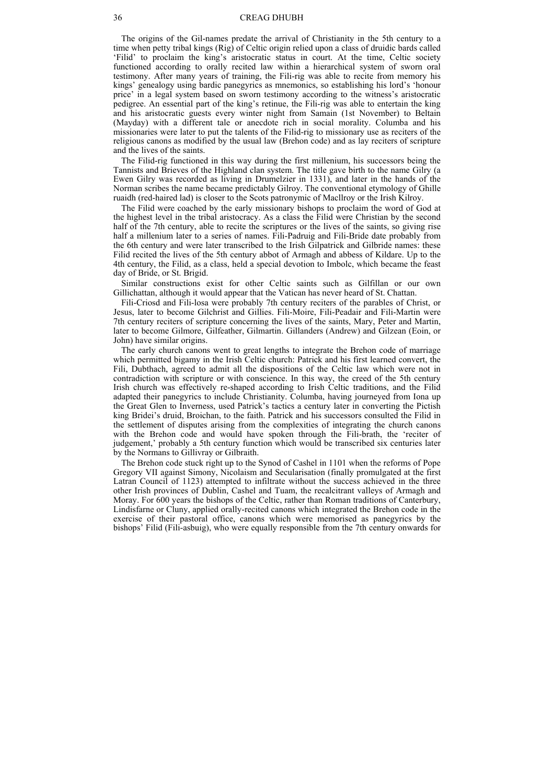The origins of the Gil-names predate the arrival of Christianity in the 5th century to a time when petty tribal kings (Rig) of Celtic origin relied upon a class of druidic bards called 'Filid' to proclaim the king's aristocratic status in court. At the time, Celtic society functioned according to orally recited law within a hierarchical system of sworn oral testimony. After many years of training, the Fili-rig was able to recite from memory his kings' genealogy using bardic panegyrics as mnemonics, so establishing his lord's 'honour price' in a legal system based on sworn testimony according to the witness's aristocratic pedigree. An essential part of the king's retinue, the Fili-rig was able to entertain the king and his aristocratic guests every winter night from Samain (1st November) to Beltain (Mayday) with a different tale or anecdote rich in social morality. Columba and his missionaries were later to put the talents of the Filid-rig to missionary use as reciters of the religious canons as modified by the usual law (Brehon code) and as lay reciters of scripture and the lives of the saints.

The Filid-rig functioned in this way during the first millenium, his successors being the Tannists and Brieves of the Highland clan system. The title gave birth to the name Gilry (a Ewen Gilry was recorded as living in Drumelzier in 1331), and later in the hands of the Norman scribes the name became predictably Gilroy. The conventional etymology of Ghille ruaidh (red-haired lad) is closer to the Scots patronymic of Macllroy or the Irish Kilroy.

The Filid were coached by the early missionary bishops to proclaim the word of God at the highest level in the tribal aristocracy. As a class the Filid were Christian by the second half of the 7th century, able to recite the scriptures or the lives of the saints, so giving rise half a millenium later to a series of names. Fili-Padruig and Fili-Bride date probably from the 6th century and were later transcribed to the Irish Gilpatrick and Gilbride names: these Filid recited the lives of the 5th century abbot of Armagh and abbess of Kildare. Up to the 4th century, the Filid, as a class, held a special devotion to Imbolc, which became the feast day of Bride, or St. Brigid.

Similar constructions exist for other Celtic saints such as Gilfillan or our own Gillichattan, although it would appear that the Vatican has never heard of St. Chattan.

Fili-Criosd and Fili-losa were probably 7th century reciters of the parables of Christ, or Jesus, later to become Gilchrist and Gillies. Fili-Moire, Fili-Peadair and Fili-Martin were 7th century reciters of scripture concerning the lives of the saints, Mary, Peter and Martin, later to become Gilmore, Gilfeather, Gilmartin. Gillanders (Andrew) and Gilzean (Eoin, or John) have similar origins.

The early church canons went to great lengths to integrate the Brehon code of marriage which permitted bigamy in the Irish Celtic church: Patrick and his first learned convert, the Fili, Dubthach, agreed to admit all the dispositions of the Celtic law which were not in contradiction with scripture or with conscience. In this way, the creed of the 5th century Irish church was effectively re-shaped according to Irish Celtic traditions, and the Filid adapted their panegyrics to include Christianity. Columba, having journeyed from Iona up the Great Glen to Inverness, used Patrick's tactics a century later in converting the Pictish king Bridei's druid, Broichan, to the faith. Patrick and his successors consulted the Filid in the settlement of disputes arising from the complexities of integrating the church canons with the Brehon code and would have spoken through the Fili-brath, the 'reciter of judgement,' probably a 5th century function which would be transcribed six centuries later by the Normans to Gillivray or Gilbraith.

The Brehon code stuck right up to the Synod of Cashel in 1101 when the reforms of Pope Gregory VII against Simony, Nicolaism and Secularisation (finally promulgated at the first Latran Council of 1123) attempted to infiltrate without the success achieved in the three other Irish provinces of Dublin, Cashel and Tuam, the recalcitrant valleys of Armagh and Moray. For 600 years the bishops of the Celtic, rather than Roman traditions of Canterbury, Lindisfarne or Cluny, applied orally-recited canons which integrated the Brehon code in the exercise of their pastoral office, canons which were memorised as panegyrics by the bishops' Filid (Fili-asbuig), who were equally responsible from the 7th century onwards for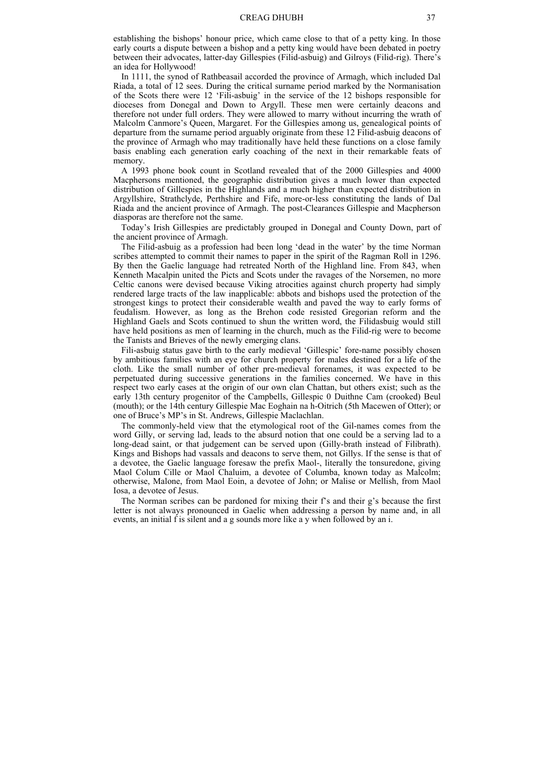establishing the bishops' honour price, which came close to that of a petty king. In those early courts a dispute between a bishop and a petty king would have been debated in poetry between their advocates, latter-day Gillespies (Filid-asbuig) and Gilroys (Filid-rig). There's an idea for Hollywood!

In 1111, the synod of Rathbeasail accorded the province of Armagh, which included Dal Riada, a total of 12 sees. During the critical surname period marked by the Normanisation of the Scots there were 12 'Fili-asbuig' in the service of the 12 bishops responsible for dioceses from Donegal and Down to Argyll. These men were certainly deacons and therefore not under full orders. They were allowed to marry without incurring the wrath of Malcolm Canmore's Queen, Margaret. For the Gillespies among us, genealogical points of departure from the surname period arguably originate from these 12 Filid-asbuig deacons of the province of Armagh who may traditionally have held these functions on a close family basis enabling each generation early coaching of the next in their remarkable feats of memory.

A 1993 phone book count in Scotland revealed that of the 2000 Gillespies and 4000 Macphersons mentioned, the geographic distribution gives a much lower than expected distribution of Gillespies in the Highlands and a much higher than expected distribution in Argyllshire, Strathclyde, Perthshire and Fife, more-or-less constituting the lands of Dal Riada and the ancient province of Armagh. The post-Clearances Gillespie and Macpherson diasporas are therefore not the same.

Today's Irish Gillespies are predictably grouped in Donegal and County Down, part of the ancient province of Armagh.

The Filid-asbuig as a profession had been long 'dead in the water' by the time Norman scribes attempted to commit their names to paper in the spirit of the Ragman Roll in 1296. By then the Gaelic language had retreated North of the Highland line. From 843, when Kenneth Macalpin united the Picts and Scots under the ravages of the Norsemen, no more Celtic canons were devised because Viking atrocities against church property had simply rendered large tracts of the law inapplicable: abbots and bishops used the protection of the strongest kings to protect their considerable wealth and paved the way to early forms of feudalism. However, as long as the Brehon code resisted Gregorian reform and the Highland Gaels and Scots continued to shun the written word, the Filidasbuig would still have held positions as men of learning in the church, much as the Filid-rig were to become the Tanists and Brieves of the newly emerging clans.

Fili-asbuig status gave birth to the early medieval 'Gillespic' fore-name possibly chosen by ambitious families with an eye for church property for males destined for a life of the cloth. Like the small number of other pre-medieval forenames, it was expected to be perpetuated during successive generations in the families concerned. We have in this respect two early cases at the origin of our own clan Chattan, but others exist; such as the early 13th century progenitor of the Campbells, Gillespic 0 Duithne Cam (crooked) Beul (mouth); or the 14th century Gillespie Mac Eoghain na h-Oitrich (5th Macewen of Otter); or one of Bruce's MP's in St. Andrews, Gillespie Maclachlan.

The commonly-held view that the etymological root of the Gil-names comes from the word Gilly, or serving lad, leads to the absurd notion that one could be a serving lad to a long-dead saint, or that judgement can be served upon (Gilly-brath instead of Filibrath). Kings and Bishops had vassals and deacons to serve them, not Gillys. If the sense is that of a devotee, the Gaelic language foresaw the prefix Maol-, literally the tonsuredone, giving Maol Colum Cille or Maol Chaluim, a devotee of Columba, known today as Malcolm; otherwise, Malone, from Maol Eoin, a devotee of John; or Malise or Mellish, from Maol Iosa, a devotee of Jesus.

The Norman scribes can be pardoned for mixing their f's and their g's because the first letter is not always pronounced in Gaelic when addressing a person by name and, in all events, an initial f is silent and a g sounds more like a y when followed by an i.